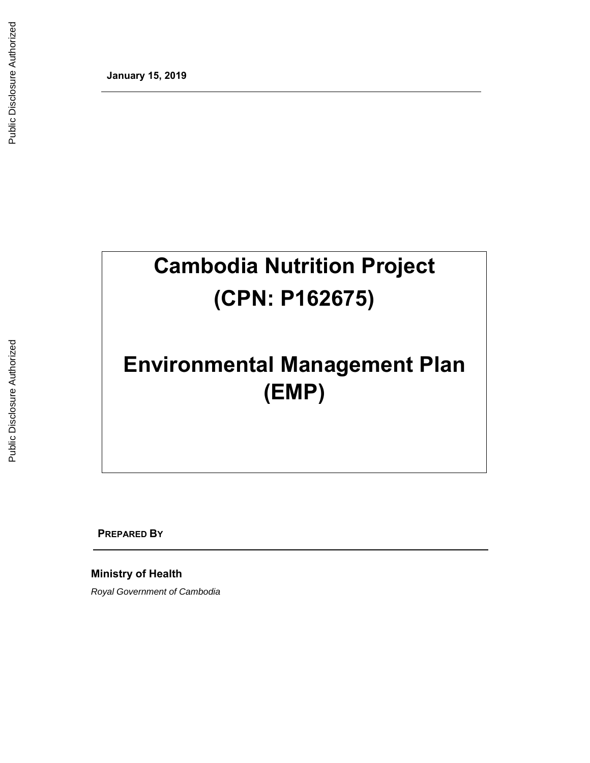**January 15, 2019** 

# **Cambodia Nutrition Project (CPN: P162675)**

# **Environmental Management Plan (EMP)**

**PREPARED BY**

**Ministry of Health** 

*Royal Government of Cambodia*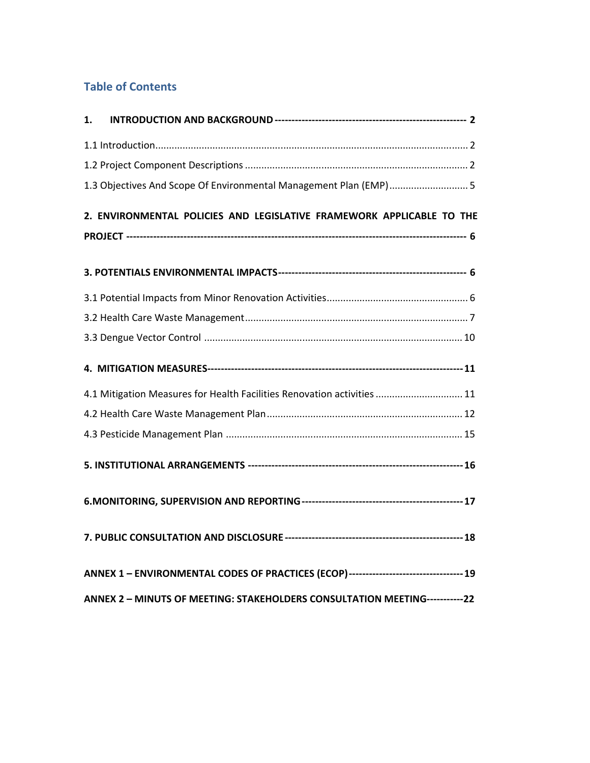# **Table of Contents**

| 1. |                                                                                       |
|----|---------------------------------------------------------------------------------------|
|    |                                                                                       |
|    |                                                                                       |
|    | 1.3 Objectives And Scope Of Environmental Management Plan (EMP) 5                     |
|    | 2. ENVIRONMENTAL POLICIES AND LEGISLATIVE FRAMEWORK APPLICABLE TO THE                 |
|    |                                                                                       |
|    |                                                                                       |
|    |                                                                                       |
|    |                                                                                       |
|    |                                                                                       |
|    |                                                                                       |
|    | 4.1 Mitigation Measures for Health Facilities Renovation activities  11               |
|    |                                                                                       |
|    |                                                                                       |
|    |                                                                                       |
|    |                                                                                       |
|    |                                                                                       |
|    | ANNEX 1 - ENVIRONMENTAL CODES OF PRACTICES (ECOP)--------------------------------- 19 |
|    | ANNEX 2 - MINUTS OF MEETING: STAKEHOLDERS CONSULTATION MEETING------------22          |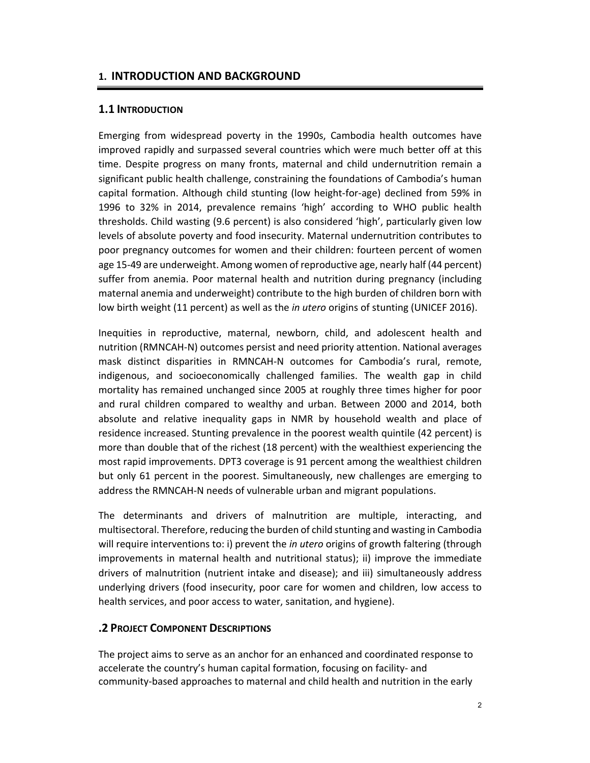#### **1. INTRODUCTION AND BACKGROUND**

#### **1.1 INTRODUCTION**

Emerging from widespread poverty in the 1990s, Cambodia health outcomes have improved rapidly and surpassed several countries which were much better off at this time. Despite progress on many fronts, maternal and child undernutrition remain a significant public health challenge, constraining the foundations of Cambodia's human capital formation. Although child stunting (low height‐for‐age) declined from 59% in 1996 to 32% in 2014, prevalence remains 'high' according to WHO public health thresholds. Child wasting (9.6 percent) is also considered 'high', particularly given low levels of absolute poverty and food insecurity. Maternal undernutrition contributes to poor pregnancy outcomes for women and their children: fourteen percent of women age 15‐49 are underweight. Among women of reproductive age, nearly half (44 percent) suffer from anemia. Poor maternal health and nutrition during pregnancy (including maternal anemia and underweight) contribute to the high burden of children born with low birth weight (11 percent) as well as the *in utero* origins of stunting (UNICEF 2016).

Inequities in reproductive, maternal, newborn, child, and adolescent health and nutrition (RMNCAH‐N) outcomes persist and need priority attention. National averages mask distinct disparities in RMNCAH-N outcomes for Cambodia's rural, remote, indigenous, and socioeconomically challenged families. The wealth gap in child mortality has remained unchanged since 2005 at roughly three times higher for poor and rural children compared to wealthy and urban. Between 2000 and 2014, both absolute and relative inequality gaps in NMR by household wealth and place of residence increased. Stunting prevalence in the poorest wealth quintile (42 percent) is more than double that of the richest (18 percent) with the wealthiest experiencing the most rapid improvements. DPT3 coverage is 91 percent among the wealthiest children but only 61 percent in the poorest. Simultaneously, new challenges are emerging to address the RMNCAH‐N needs of vulnerable urban and migrant populations.

The determinants and drivers of malnutrition are multiple, interacting, and multisectoral. Therefore, reducing the burden of child stunting and wasting in Cambodia will require interventions to: i) prevent the *in utero* origins of growth faltering (through improvements in maternal health and nutritional status); ii) improve the immediate drivers of malnutrition (nutrient intake and disease); and iii) simultaneously address underlying drivers (food insecurity, poor care for women and children, low access to health services, and poor access to water, sanitation, and hygiene).

#### **.2 PROJECT COMPONENT DESCRIPTIONS**

The project aims to serve as an anchor for an enhanced and coordinated response to accelerate the country's human capital formation, focusing on facility‐ and community‐based approaches to maternal and child health and nutrition in the early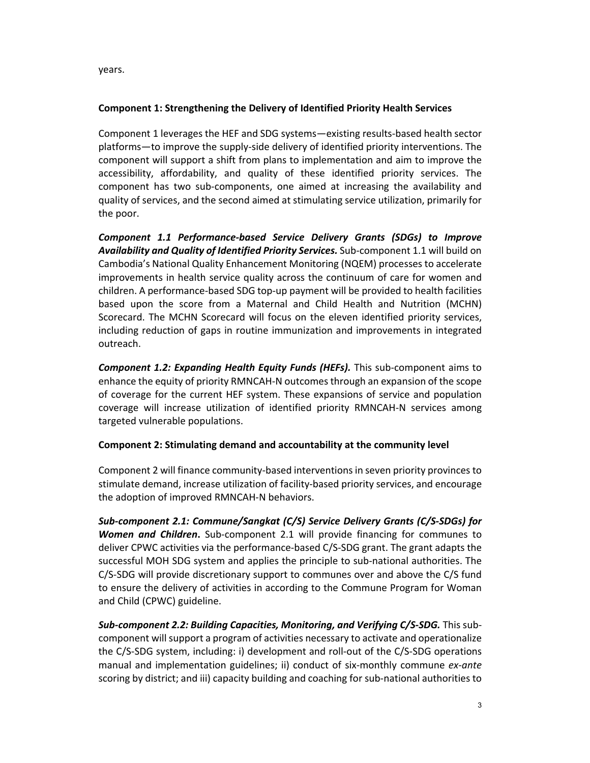years.

# **Component 1: Strengthening the Delivery of Identified Priority Health Services**

Component 1 leverages the HEF and SDG systems—existing results‐based health sector platforms—to improve the supply‐side delivery of identified priority interventions. The component will support a shift from plans to implementation and aim to improve the accessibility, affordability, and quality of these identified priority services. The component has two sub-components, one aimed at increasing the availability and quality of services, and the second aimed at stimulating service utilization, primarily for the poor.

*Component 1.1 Performance‐based Service Delivery Grants (SDGs) to Improve Availability and Quality of Identified Priority Services.* Sub‐component 1.1 will build on Cambodia's National Quality Enhancement Monitoring (NQEM) processes to accelerate improvements in health service quality across the continuum of care for women and children. A performance‐based SDG top‐up payment will be provided to health facilities based upon the score from a Maternal and Child Health and Nutrition (MCHN) Scorecard. The MCHN Scorecard will focus on the eleven identified priority services, including reduction of gaps in routine immunization and improvements in integrated outreach.

*Component 1.2: Expanding Health Equity Funds (HEFs).* This sub‐component aims to enhance the equity of priority RMNCAH‐N outcomes through an expansion of the scope of coverage for the current HEF system. These expansions of service and population coverage will increase utilization of identified priority RMNCAH‐N services among targeted vulnerable populations.

#### **Component 2: Stimulating demand and accountability at the community level**

Component 2 will finance community‐based interventions in seven priority provinces to stimulate demand, increase utilization of facility‐based priority services, and encourage the adoption of improved RMNCAH‐N behaviors.

*Sub‐component 2.1: Commune/Sangkat (C/S) Service Delivery Grants (C/S‐SDGs) for Women and Children***.**  Sub‐component 2.1 will provide financing for communes to deliver CPWC activities via the performance‐based C/S‐SDG grant. The grant adapts the successful MOH SDG system and applies the principle to sub-national authorities. The C/S‐SDG will provide discretionary support to communes over and above the C/S fund to ensure the delivery of activities in according to the Commune Program for Woman and Child (CPWC) guideline.

*Sub‐component 2.2: Building Capacities, Monitoring, and Verifying C/S‐SDG.* This sub‐ component will support a program of activities necessary to activate and operationalize the C/S‐SDG system, including: i) development and roll‐out of the C/S‐SDG operations manual and implementation guidelines; ii) conduct of six‐monthly commune *ex‐ante*  scoring by district; and iii) capacity building and coaching for sub-national authorities to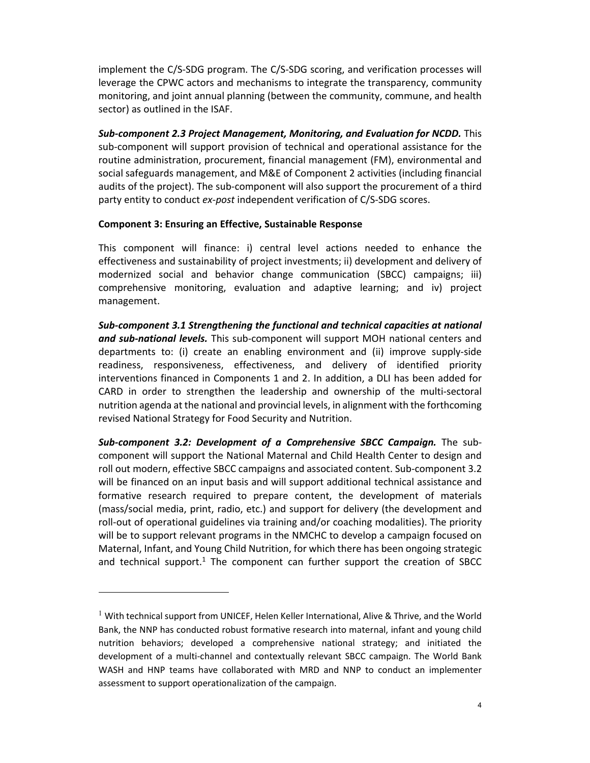implement the C/S‐SDG program. The C/S‐SDG scoring, and verification processes will leverage the CPWC actors and mechanisms to integrate the transparency, community monitoring, and joint annual planning (between the community, commune, and health sector) as outlined in the ISAF.

*Sub‐component 2.3 Project Management, Monitoring, and Evaluation for NCDD.* This sub‐component will support provision of technical and operational assistance for the routine administration, procurement, financial management (FM), environmental and social safeguards management, and M&E of Component 2 activities (including financial audits of the project). The sub‐component will also support the procurement of a third party entity to conduct *ex‐post* independent verification of C/S‐SDG scores.

#### **Component 3: Ensuring an Effective, Sustainable Response**

This component will finance: i) central level actions needed to enhance the effectiveness and sustainability of project investments; ii) development and delivery of modernized social and behavior change communication (SBCC) campaigns; iii) comprehensive monitoring, evaluation and adaptive learning; and iv) project management.

*Sub‐component 3.1 Strengthening the functional and technical capacities at national and sub‐national levels.* This sub‐component will support MOH national centers and departments to: (i) create an enabling environment and (ii) improve supply‐side readiness, responsiveness, effectiveness, and delivery of identified priority interventions financed in Components 1 and 2. In addition, a DLI has been added for CARD in order to strengthen the leadership and ownership of the multi‐sectoral nutrition agenda at the national and provincial levels, in alignment with the forthcoming revised National Strategy for Food Security and Nutrition.

*Sub‐component 3.2: Development of a Comprehensive SBCC Campaign.*  The sub‐ component will support the National Maternal and Child Health Center to design and roll out modern, effective SBCC campaigns and associated content. Sub‐component 3.2 will be financed on an input basis and will support additional technical assistance and formative research required to prepare content, the development of materials (mass/social media, print, radio, etc.) and support for delivery (the development and roll‐out of operational guidelines via training and/or coaching modalities). The priority will be to support relevant programs in the NMCHC to develop a campaign focused on Maternal, Infant, and Young Child Nutrition, for which there has been ongoing strategic and technical support.<sup>1</sup> The component can further support the creation of SBCC

 $\overline{a}$ 

 $1$  With technical support from UNICEF, Helen Keller International, Alive & Thrive, and the World Bank, the NNP has conducted robust formative research into maternal, infant and young child nutrition behaviors; developed a comprehensive national strategy; and initiated the development of a multi-channel and contextually relevant SBCC campaign. The World Bank WASH and HNP teams have collaborated with MRD and NNP to conduct an implementer assessment to support operationalization of the campaign.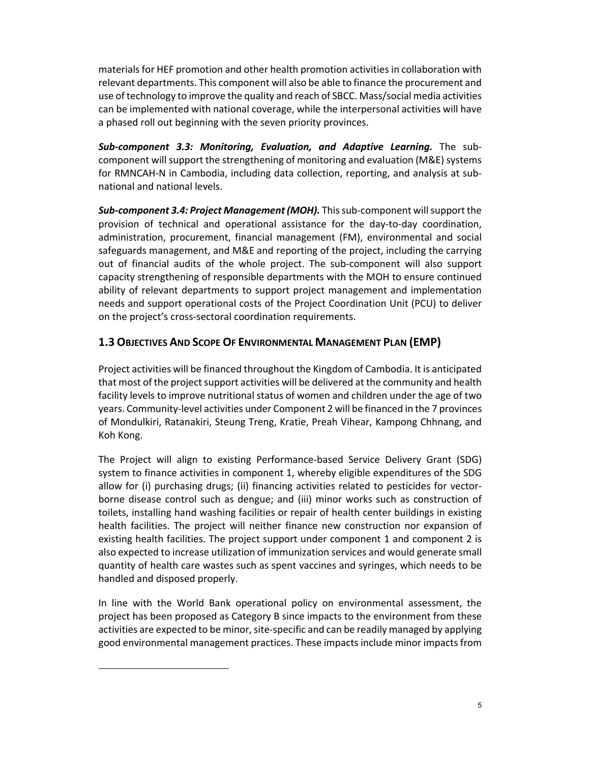materials for HEF promotion and other health promotion activities in collaboration with relevant departments. This component will also be able to finance the procurement and use of technology to improve the quality and reach of SBCC. Mass/social media activities can be implemented with national coverage, while the interpersonal activities will have a phased roll out beginning with the seven priority provinces.

*Sub‐component 3.3: Monitoring, Evaluation, and Adaptive Learning.*  The sub‐ component will support the strengthening of monitoring and evaluation (M&E) systems for RMNCAH‐N in Cambodia, including data collection, reporting, and analysis at sub‐ national and national levels.

*Sub‐component 3.4: Project Management (MOH).* This sub‐component will support the provision of technical and operational assistance for the day‐to‐day coordination, administration, procurement, financial management (FM), environmental and social safeguards management, and M&E and reporting of the project, including the carrying out of financial audits of the whole project. The sub‐component will also support capacity strengthening of responsible departments with the MOH to ensure continued ability of relevant departments to support project management and implementation needs and support operational costs of the Project Coordination Unit (PCU) to deliver on the project's cross‐sectoral coordination requirements.

# **1.3 OBJECTIVES AND SCOPE OF ENVIRONMENTAL MANAGEMENT PLAN (EMP)**

Project activities will be financed throughout the Kingdom of Cambodia. It is anticipated that most of the project support activities will be delivered at the community and health facility levels to improve nutritional status of women and children under the age of two years. Community‐level activities under Component 2 will be financed in the 7 provinces of Mondulkiri, Ratanakiri, Steung Treng, Kratie, Preah Vihear, Kampong Chhnang, and Koh Kong.

The Project will align to existing Performance‐based Service Delivery Grant (SDG) system to finance activities in component 1, whereby eligible expenditures of the SDG allow for (i) purchasing drugs; (ii) financing activities related to pesticides for vectorborne disease control such as dengue; and (iii) minor works such as construction of toilets, installing hand washing facilities or repair of health center buildings in existing health facilities. The project will neither finance new construction nor expansion of existing health facilities. The project support under component 1 and component 2 is also expected to increase utilization of immunization services and would generate small quantity of health care wastes such as spent vaccines and syringes, which needs to be handled and disposed properly.

In line with the World Bank operational policy on environmental assessment, the project has been proposed as Category B since impacts to the environment from these activities are expected to be minor, site‐specific and can be readily managed by applying good environmental management practices. These impacts include minor impacts from

 $\overline{a}$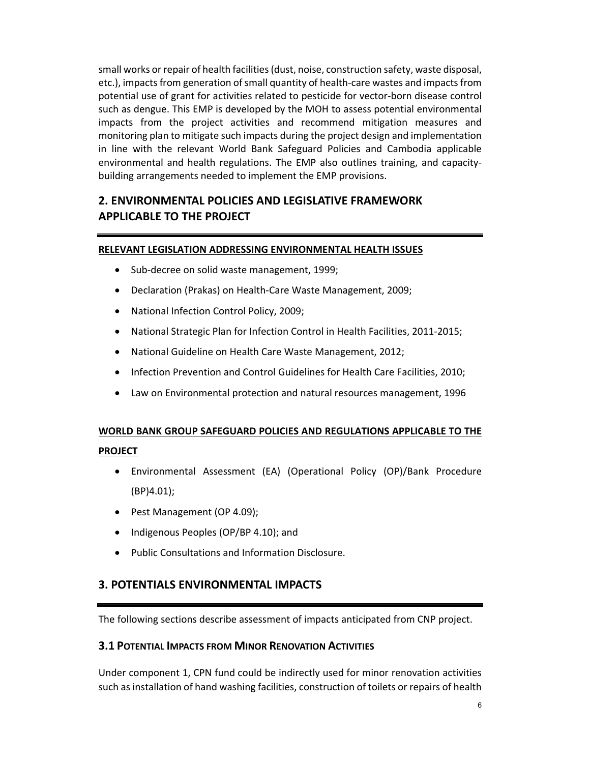small works or repair of health facilities (dust, noise, construction safety, waste disposal, etc.), impacts from generation of small quantity of health‐care wastes and impacts from potential use of grant for activities related to pesticide for vector‐born disease control such as dengue. This EMP is developed by the MOH to assess potential environmental impacts from the project activities and recommend mitigation measures and monitoring plan to mitigate such impacts during the project design and implementation in line with the relevant World Bank Safeguard Policies and Cambodia applicable environmental and health regulations. The EMP also outlines training, and capacity‐ building arrangements needed to implement the EMP provisions.

# **2. ENVIRONMENTAL POLICIES AND LEGISLATIVE FRAMEWORK APPLICABLE TO THE PROJECT**

#### **RELEVANT LEGISLATION ADDRESSING ENVIRONMENTAL HEALTH ISSUES**

- Sub-decree on solid waste management, 1999;
- Declaration (Prakas) on Health‐Care Waste Management, 2009;
- National Infection Control Policy, 2009;
- National Strategic Plan for Infection Control in Health Facilities, 2011-2015;
- National Guideline on Health Care Waste Management, 2012;
- Infection Prevention and Control Guidelines for Health Care Facilities, 2010;
- Law on Environmental protection and natural resources management, 1996

# **WORLD BANK GROUP SAFEGUARD POLICIES AND REGULATIONS APPLICABLE TO THE**

#### **PROJECT**

- Environmental Assessment (EA) (Operational Policy (OP)/Bank Procedure (BP)4.01);
- Pest Management (OP 4.09);
- Indigenous Peoples (OP/BP 4.10); and
- Public Consultations and Information Disclosure.

# **3. POTENTIALS ENVIRONMENTAL IMPACTS**

The following sections describe assessment of impacts anticipated from CNP project.

# **3.1 POTENTIAL IMPACTS FROM MINOR RENOVATION ACTIVITIES**

Under component 1, CPN fund could be indirectly used for minor renovation activities such as installation of hand washing facilities, construction of toilets or repairs of health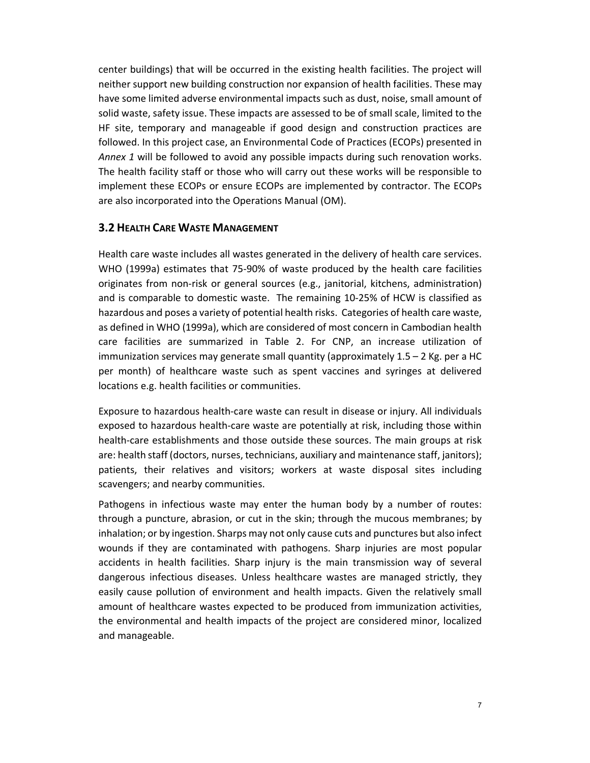center buildings) that will be occurred in the existing health facilities. The project will neither support new building construction nor expansion of health facilities. These may have some limited adverse environmental impacts such as dust, noise, small amount of solid waste, safety issue. These impacts are assessed to be of small scale, limited to the HF site, temporary and manageable if good design and construction practices are followed. In this project case, an Environmental Code of Practices (ECOPs) presented in *Annex 1* will be followed to avoid any possible impacts during such renovation works. The health facility staff or those who will carry out these works will be responsible to implement these ECOPs or ensure ECOPs are implemented by contractor. The ECOPs are also incorporated into the Operations Manual (OM).

#### **3.2 HEALTH CARE WASTE MANAGEMENT**

Health care waste includes all wastes generated in the delivery of health care services. WHO (1999a) estimates that 75-90% of waste produced by the health care facilities originates from non‐risk or general sources (e.g., janitorial, kitchens, administration) and is comparable to domestic waste. The remaining 10‐25% of HCW is classified as hazardous and poses a variety of potential health risks. Categories of health care waste, as defined in WHO (1999a), which are considered of most concern in Cambodian health care facilities are summarized in Table 2. For CNP, an increase utilization of immunization services may generate small quantity (approximately 1.5 – 2 Kg. per a HC per month) of healthcare waste such as spent vaccines and syringes at delivered locations e.g. health facilities or communities.

Exposure to hazardous health‐care waste can result in disease or injury. All individuals exposed to hazardous health-care waste are potentially at risk, including those within health-care establishments and those outside these sources. The main groups at risk are: health staff (doctors, nurses, technicians, auxiliary and maintenance staff, janitors); patients, their relatives and visitors; workers at waste disposal sites including scavengers; and nearby communities.

Pathogens in infectious waste may enter the human body by a number of routes: through a puncture, abrasion, or cut in the skin; through the mucous membranes; by inhalation; or by ingestion. Sharps may not only cause cuts and punctures but also infect wounds if they are contaminated with pathogens. Sharp injuries are most popular accidents in health facilities. Sharp injury is the main transmission way of several dangerous infectious diseases. Unless healthcare wastes are managed strictly, they easily cause pollution of environment and health impacts. Given the relatively small amount of healthcare wastes expected to be produced from immunization activities, the environmental and health impacts of the project are considered minor, localized and manageable.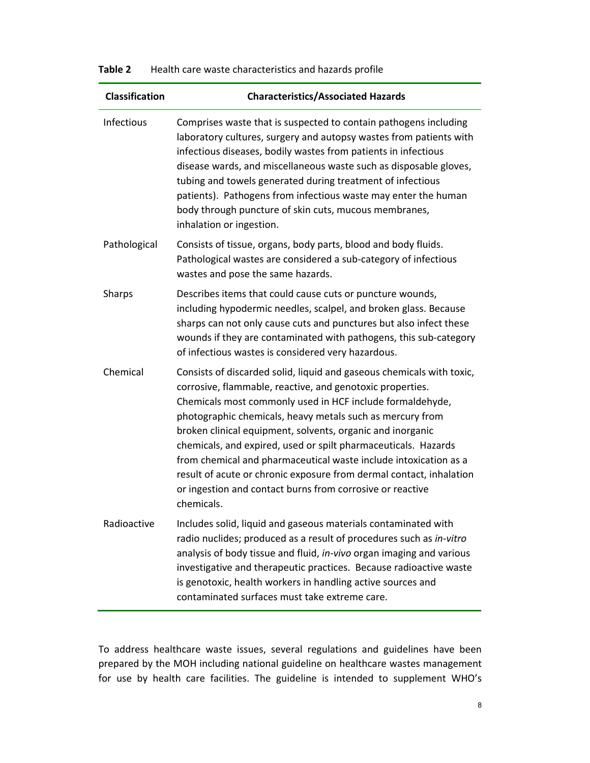# **Classification Characteristics/Associated Hazards**  Infectious Comprises waste that is suspected to contain pathogens including laboratory cultures, surgery and autopsy wastes from patients with infectious diseases, bodily wastes from patients in infectious disease wards, and miscellaneous waste such as disposable gloves, tubing and towels generated during treatment of infectious patients). Pathogens from infectious waste may enter the human body through puncture of skin cuts, mucous membranes, inhalation or ingestion. Pathological Consists of tissue, organs, body parts, blood and body fluids. Pathological wastes are considered a sub‐category of infectious wastes and pose the same hazards. Sharps Describes items that could cause cuts or puncture wounds, including hypodermic needles, scalpel, and broken glass. Because sharps can not only cause cuts and punctures but also infect these wounds if they are contaminated with pathogens, this sub‐category of infectious wastes is considered very hazardous. Chemical Consists of discarded solid, liquid and gaseous chemicals with toxic, corrosive, flammable, reactive, and genotoxic properties. Chemicals most commonly used in HCF include formaldehyde, photographic chemicals, heavy metals such as mercury from broken clinical equipment, solvents, organic and inorganic chemicals, and expired, used or spilt pharmaceuticals. Hazards from chemical and pharmaceutical waste include intoxication as a result of acute or chronic exposure from dermal contact, inhalation or ingestion and contact burns from corrosive or reactive chemicals. Radioactive Includes solid, liquid and gaseous materials contaminated with radio nuclides; produced as a result of procedures such as *in‐vitro* analysis of body tissue and fluid, *in‐vivo* organ imaging and various investigative and therapeutic practices. Because radioactive waste is genotoxic, health workers in handling active sources and contaminated surfaces must take extreme care.

#### **Table 2** Health care waste characteristics and hazards profile

To address healthcare waste issues, several regulations and guidelines have been prepared by the MOH including national guideline on healthcare wastes management for use by health care facilities. The guideline is intended to supplement WHO's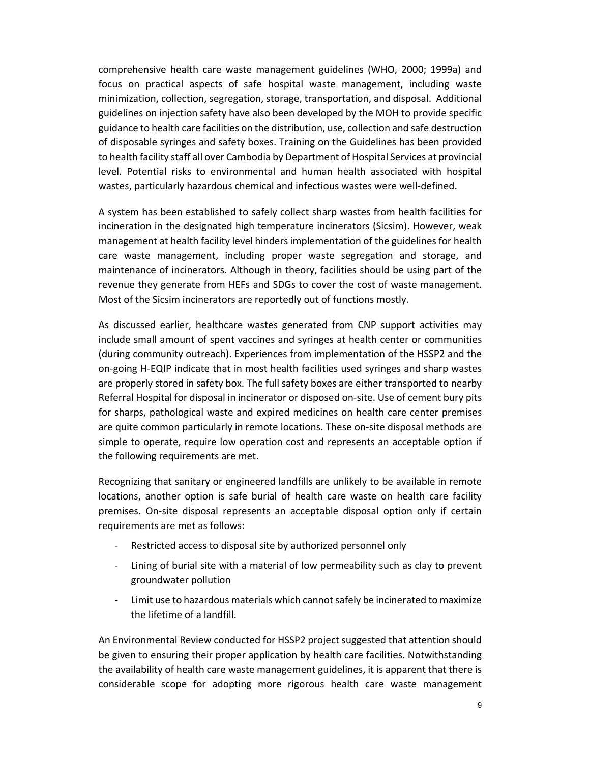comprehensive health care waste management guidelines (WHO, 2000; 1999a) and focus on practical aspects of safe hospital waste management, including waste minimization, collection, segregation, storage, transportation, and disposal. Additional guidelines on injection safety have also been developed by the MOH to provide specific guidance to health care facilities on the distribution, use, collection and safe destruction of disposable syringes and safety boxes. Training on the Guidelines has been provided to health facility staff all over Cambodia by Department of Hospital Services at provincial level. Potential risks to environmental and human health associated with hospital wastes, particularly hazardous chemical and infectious wastes were well‐defined.

A system has been established to safely collect sharp wastes from health facilities for incineration in the designated high temperature incinerators (Sicsim). However, weak management at health facility level hinders implementation of the guidelines for health care waste management, including proper waste segregation and storage, and maintenance of incinerators. Although in theory, facilities should be using part of the revenue they generate from HEFs and SDGs to cover the cost of waste management. Most of the Sicsim incinerators are reportedly out of functions mostly.

As discussed earlier, healthcare wastes generated from CNP support activities may include small amount of spent vaccines and syringes at health center or communities (during community outreach). Experiences from implementation of the HSSP2 and the on‐going H‐EQIP indicate that in most health facilities used syringes and sharp wastes are properly stored in safety box. The full safety boxes are either transported to nearby Referral Hospital for disposal in incinerator or disposed on‐site. Use of cement bury pits for sharps, pathological waste and expired medicines on health care center premises are quite common particularly in remote locations. These on‐site disposal methods are simple to operate, require low operation cost and represents an acceptable option if the following requirements are met.

Recognizing that sanitary or engineered landfills are unlikely to be available in remote locations, another option is safe burial of health care waste on health care facility premises. On‐site disposal represents an acceptable disposal option only if certain requirements are met as follows:

- ‐ Restricted access to disposal site by authorized personnel only
- ‐ Lining of burial site with a material of low permeability such as clay to prevent groundwater pollution
- ‐ Limit use to hazardous materials which cannot safely be incinerated to maximize the lifetime of a landfill.

An Environmental Review conducted for HSSP2 project suggested that attention should be given to ensuring their proper application by health care facilities. Notwithstanding the availability of health care waste management guidelines, it is apparent that there is considerable scope for adopting more rigorous health care waste management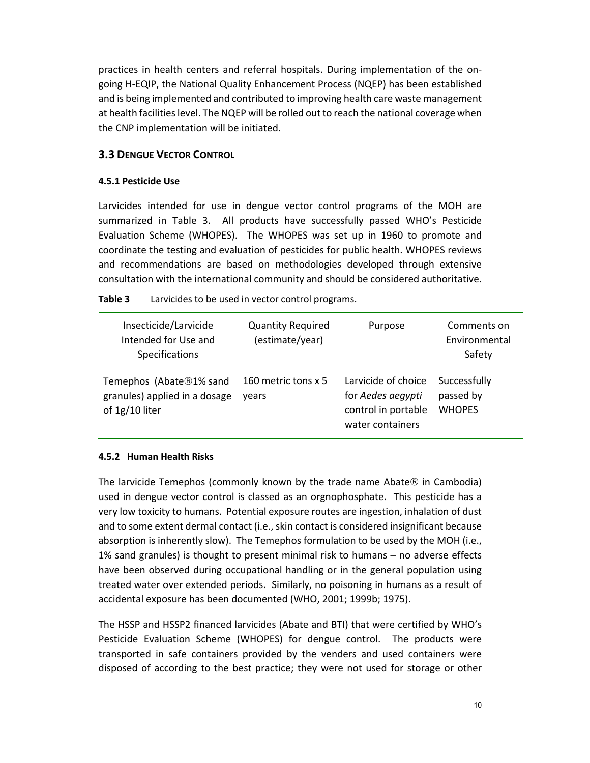practices in health centers and referral hospitals. During implementation of the on‐ going H‐EQIP, the National Quality Enhancement Process (NQEP) has been established and is being implemented and contributed to improving health care waste management at health facilities level. The NQEP will be rolled out to reach the national coverage when the CNP implementation will be initiated.

# **3.3 DENGUE VECTOR CONTROL**

#### **4.5.1 Pesticide Use**

Larvicides intended for use in dengue vector control programs of the MOH are summarized in Table 3. All products have successfully passed WHO's Pesticide Evaluation Scheme (WHOPES). The WHOPES was set up in 1960 to promote and coordinate the testing and evaluation of pesticides for public health. WHOPES reviews and recommendations are based on methodologies developed through extensive consultation with the international community and should be considered authoritative.

| Insecticide/Larvicide<br>Intended for Use and<br>Specifications            | <b>Quantity Required</b><br>(estimate/year) | Purpose                                                                             | Comments on<br>Environmental<br>Safety     |
|----------------------------------------------------------------------------|---------------------------------------------|-------------------------------------------------------------------------------------|--------------------------------------------|
| Temephos (Abate®1% sand<br>granules) applied in a dosage<br>of 1g/10 liter | 160 metric tons x 5<br>vears                | Larvicide of choice<br>for Aedes aegypti<br>control in portable<br>water containers | Successfully<br>passed by<br><b>WHOPES</b> |

**Table 3**  Larvicides to be used in vector control programs.

#### **4.5.2 Human Health Risks**

The larvicide Temephos (commonly known by the trade name Abate $\circledR$  in Cambodia) used in dengue vector control is classed as an orgnophosphate. This pesticide has a very low toxicity to humans. Potential exposure routes are ingestion, inhalation of dust and to some extent dermal contact (i.e., skin contact is considered insignificant because absorption is inherently slow). The Temephos formulation to be used by the MOH (i.e., 1% sand granules) is thought to present minimal risk to humans – no adverse effects have been observed during occupational handling or in the general population using treated water over extended periods. Similarly, no poisoning in humans as a result of accidental exposure has been documented (WHO, 2001; 1999b; 1975).

The HSSP and HSSP2 financed larvicides (Abate and BTI) that were certified by WHO's Pesticide Evaluation Scheme (WHOPES) for dengue control. The products were transported in safe containers provided by the venders and used containers were disposed of according to the best practice; they were not used for storage or other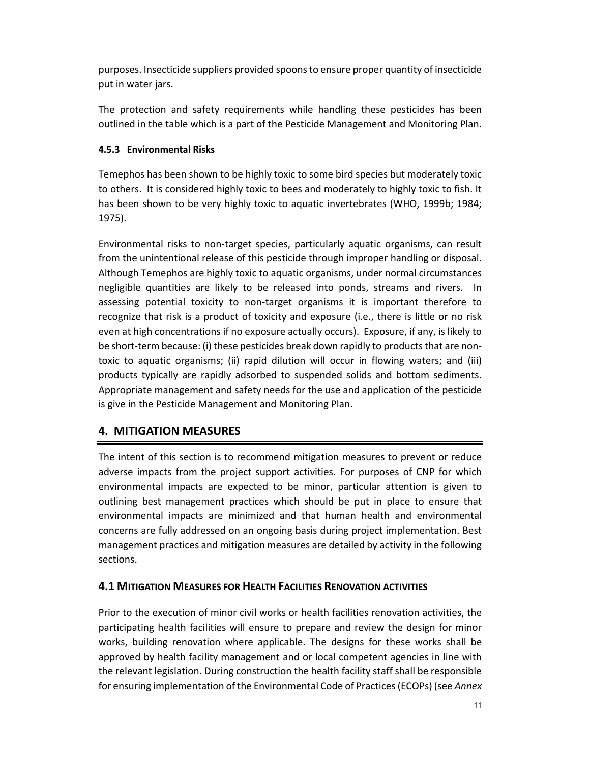purposes. Insecticide suppliers provided spoons to ensure proper quantity of insecticide put in water jars.

The protection and safety requirements while handling these pesticides has been outlined in the table which is a part of the Pesticide Management and Monitoring Plan.

# **4.5.3 Environmental Risks**

Temephos has been shown to be highly toxic to some bird species but moderately toxic to others. It is considered highly toxic to bees and moderately to highly toxic to fish. It has been shown to be very highly toxic to aquatic invertebrates (WHO, 1999b; 1984; 1975).

Environmental risks to non-target species, particularly aquatic organisms, can result from the unintentional release of this pesticide through improper handling or disposal. Although Temephos are highly toxic to aquatic organisms, under normal circumstances negligible quantities are likely to be released into ponds, streams and rivers. In assessing potential toxicity to non‐target organisms it is important therefore to recognize that risk is a product of toxicity and exposure (i.e., there is little or no risk even at high concentrations if no exposure actually occurs). Exposure, if any, is likely to be short-term because: (i) these pesticides break down rapidly to products that are nontoxic to aquatic organisms; (ii) rapid dilution will occur in flowing waters; and (iii) products typically are rapidly adsorbed to suspended solids and bottom sediments. Appropriate management and safety needs for the use and application of the pesticide is give in the Pesticide Management and Monitoring Plan.

# **4. MITIGATION MEASURES**

The intent of this section is to recommend mitigation measures to prevent or reduce adverse impacts from the project support activities. For purposes of CNP for which environmental impacts are expected to be minor, particular attention is given to outlining best management practices which should be put in place to ensure that environmental impacts are minimized and that human health and environmental concerns are fully addressed on an ongoing basis during project implementation. Best management practices and mitigation measures are detailed by activity in the following sections.

# **4.1 MITIGATION MEASURES FOR HEALTH FACILITIES RENOVATION ACTIVITIES**

Prior to the execution of minor civil works or health facilities renovation activities, the participating health facilities will ensure to prepare and review the design for minor works, building renovation where applicable. The designs for these works shall be approved by health facility management and or local competent agencies in line with the relevant legislation. During construction the health facility staff shall be responsible for ensuring implementation of the Environmental Code of Practices (ECOPs) (see *Annex*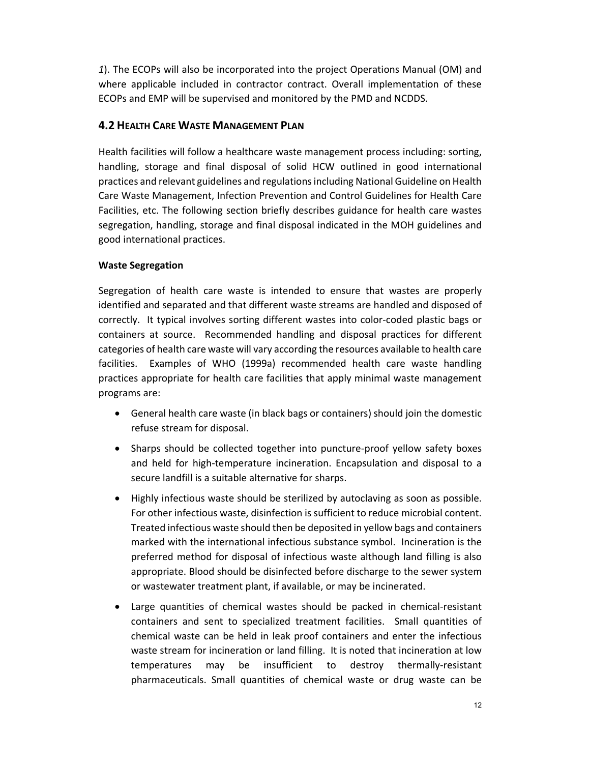*1*). The ECOPs will also be incorporated into the project Operations Manual (OM) and where applicable included in contractor contract. Overall implementation of these ECOPs and EMP will be supervised and monitored by the PMD and NCDDS.

# **4.2 HEALTH CARE WASTE MANAGEMENT PLAN**

Health facilities will follow a healthcare waste management process including: sorting, handling, storage and final disposal of solid HCW outlined in good international practices and relevant guidelines and regulations including National Guideline on Health Care Waste Management, Infection Prevention and Control Guidelines for Health Care Facilities, etc. The following section briefly describes guidance for health care wastes segregation, handling, storage and final disposal indicated in the MOH guidelines and good international practices.

# **Waste Segregation**

Segregation of health care waste is intended to ensure that wastes are properly identified and separated and that different waste streams are handled and disposed of correctly. It typical involves sorting different wastes into color‐coded plastic bags or containers at source. Recommended handling and disposal practices for different categories of health care waste will vary according the resources available to health care facilities. Examples of WHO (1999a) recommended health care waste handling practices appropriate for health care facilities that apply minimal waste management programs are:

- General health care waste (in black bags or containers) should join the domestic refuse stream for disposal.
- Sharps should be collected together into puncture-proof yellow safety boxes and held for high‐temperature incineration. Encapsulation and disposal to a secure landfill is a suitable alternative for sharps.
- Highly infectious waste should be sterilized by autoclaving as soon as possible. For other infectious waste, disinfection is sufficient to reduce microbial content. Treated infectious waste should then be deposited in yellow bags and containers marked with the international infectious substance symbol. Incineration is the preferred method for disposal of infectious waste although land filling is also appropriate. Blood should be disinfected before discharge to the sewer system or wastewater treatment plant, if available, or may be incinerated.
- Large quantities of chemical wastes should be packed in chemical‐resistant containers and sent to specialized treatment facilities. Small quantities of chemical waste can be held in leak proof containers and enter the infectious waste stream for incineration or land filling. It is noted that incineration at low temperatures may be insufficient to destroy thermally‐resistant pharmaceuticals. Small quantities of chemical waste or drug waste can be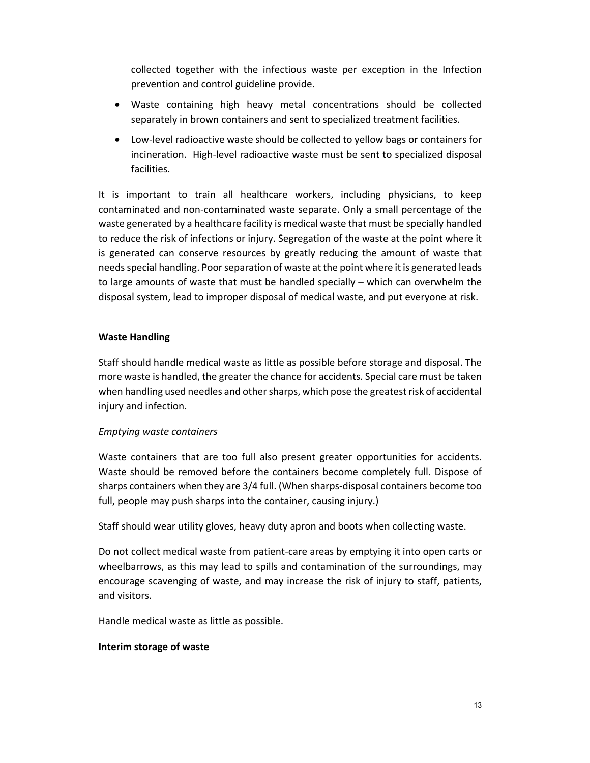collected together with the infectious waste per exception in the Infection prevention and control guideline provide.

- Waste containing high heavy metal concentrations should be collected separately in brown containers and sent to specialized treatment facilities.
- Low-level radioactive waste should be collected to yellow bags or containers for incineration. High‐level radioactive waste must be sent to specialized disposal facilities.

It is important to train all healthcare workers, including physicians, to keep contaminated and non‐contaminated waste separate. Only a small percentage of the waste generated by a healthcare facility is medical waste that must be specially handled to reduce the risk of infections or injury. Segregation of the waste at the point where it is generated can conserve resources by greatly reducing the amount of waste that needs special handling. Poor separation of waste at the point where it is generated leads to large amounts of waste that must be handled specially – which can overwhelm the disposal system, lead to improper disposal of medical waste, and put everyone at risk.

# **Waste Handling**

Staff should handle medical waste as little as possible before storage and disposal. The more waste is handled, the greater the chance for accidents. Special care must be taken when handling used needles and other sharps, which pose the greatest risk of accidental injury and infection.

#### *Emptying waste containers*

Waste containers that are too full also present greater opportunities for accidents. Waste should be removed before the containers become completely full. Dispose of sharps containers when they are 3/4 full. (When sharps‐disposal containers become too full, people may push sharps into the container, causing injury.)

Staff should wear utility gloves, heavy duty apron and boots when collecting waste.

Do not collect medical waste from patient-care areas by emptying it into open carts or wheelbarrows, as this may lead to spills and contamination of the surroundings, may encourage scavenging of waste, and may increase the risk of injury to staff, patients, and visitors.

Handle medical waste as little as possible.

#### **Interim storage of waste**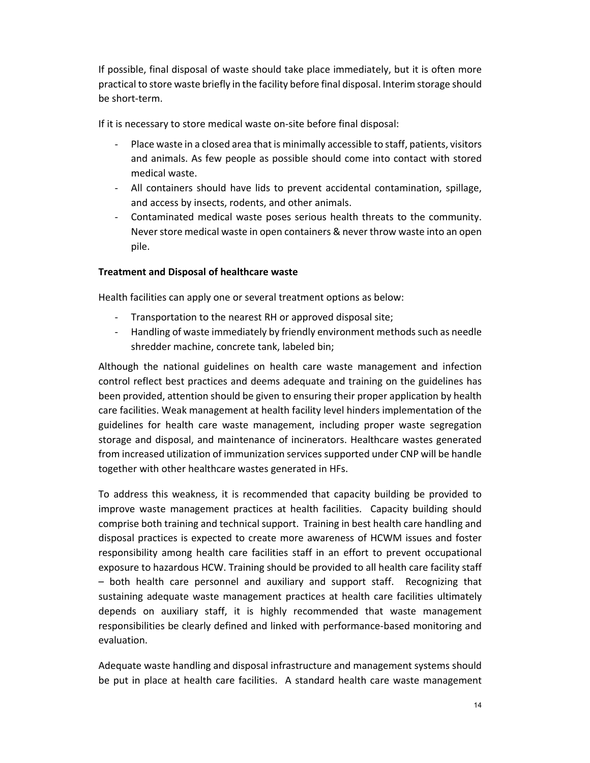If possible, final disposal of waste should take place immediately, but it is often more practical to store waste briefly in the facility before final disposal. Interim storage should be short‐term.

If it is necessary to store medical waste on‐site before final disposal:

- ‐ Place waste in a closed area that is minimally accessible to staff, patients, visitors and animals. As few people as possible should come into contact with stored medical waste.
- ‐ All containers should have lids to prevent accidental contamination, spillage, and access by insects, rodents, and other animals.
- ‐ Contaminated medical waste poses serious health threats to the community. Never store medical waste in open containers & never throw waste into an open pile.

#### **Treatment and Disposal of healthcare waste**

Health facilities can apply one or several treatment options as below:

- ‐ Transportation to the nearest RH or approved disposal site;
- ‐ Handling of waste immediately by friendly environment methods such as needle shredder machine, concrete tank, labeled bin;

Although the national guidelines on health care waste management and infection control reflect best practices and deems adequate and training on the guidelines has been provided, attention should be given to ensuring their proper application by health care facilities. Weak management at health facility level hinders implementation of the guidelines for health care waste management, including proper waste segregation storage and disposal, and maintenance of incinerators. Healthcare wastes generated from increased utilization of immunization services supported under CNP will be handle together with other healthcare wastes generated in HFs.

To address this weakness, it is recommended that capacity building be provided to improve waste management practices at health facilities. Capacity building should comprise both training and technical support. Training in best health care handling and disposal practices is expected to create more awareness of HCWM issues and foster responsibility among health care facilities staff in an effort to prevent occupational exposure to hazardous HCW. Training should be provided to all health care facility staff – both health care personnel and auxiliary and support staff. Recognizing that sustaining adequate waste management practices at health care facilities ultimately depends on auxiliary staff, it is highly recommended that waste management responsibilities be clearly defined and linked with performance‐based monitoring and evaluation.

Adequate waste handling and disposal infrastructure and management systems should be put in place at health care facilities. A standard health care waste management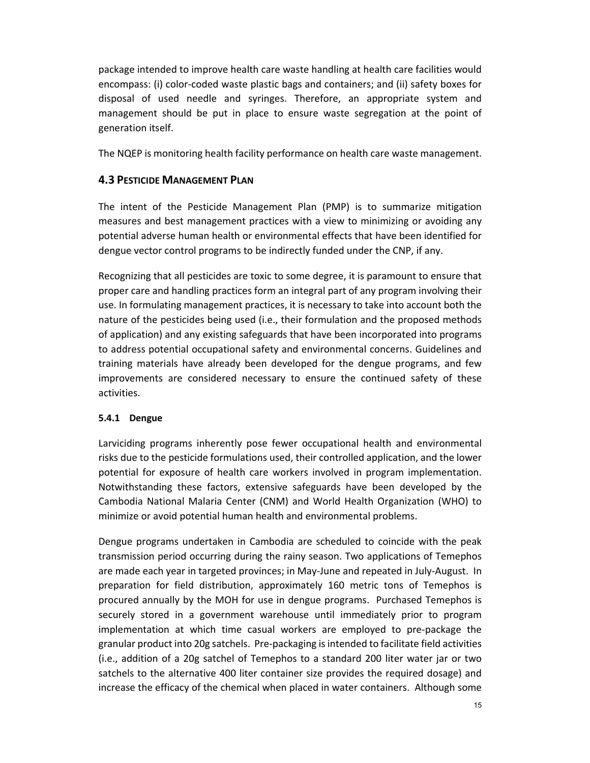package intended to improve health care waste handling at health care facilities would encompass: (i) color‐coded waste plastic bags and containers; and (ii) safety boxes for disposal of used needle and syringes. Therefore, an appropriate system and management should be put in place to ensure waste segregation at the point of generation itself.

The NQEP is monitoring health facility performance on health care waste management.

# **4.3 PESTICIDE MANAGEMENT PLAN**

The intent of the Pesticide Management Plan (PMP) is to summarize mitigation measures and best management practices with a view to minimizing or avoiding any potential adverse human health or environmental effects that have been identified for dengue vector control programs to be indirectly funded under the CNP, if any.

Recognizing that all pesticides are toxic to some degree, it is paramount to ensure that proper care and handling practices form an integral part of any program involving their use. In formulating management practices, it is necessary to take into account both the nature of the pesticides being used (i.e., their formulation and the proposed methods of application) and any existing safeguards that have been incorporated into programs to address potential occupational safety and environmental concerns. Guidelines and training materials have already been developed for the dengue programs, and few improvements are considered necessary to ensure the continued safety of these activities.

#### **5.4.1 Dengue**

Larviciding programs inherently pose fewer occupational health and environmental risks due to the pesticide formulations used, their controlled application, and the lower potential for exposure of health care workers involved in program implementation. Notwithstanding these factors, extensive safeguards have been developed by the Cambodia National Malaria Center (CNM) and World Health Organization (WHO) to minimize or avoid potential human health and environmental problems.

Dengue programs undertaken in Cambodia are scheduled to coincide with the peak transmission period occurring during the rainy season. Two applications of Temephos are made each year in targeted provinces; in May‐June and repeated in July‐August. In preparation for field distribution, approximately 160 metric tons of Temephos is procured annually by the MOH for use in dengue programs. Purchased Temephos is securely stored in a government warehouse until immediately prior to program implementation at which time casual workers are employed to pre-package the granular product into 20g satchels. Pre‐packaging is intended to facilitate field activities (i.e., addition of a 20g satchel of Temephos to a standard 200 liter water jar or two satchels to the alternative 400 liter container size provides the required dosage) and increase the efficacy of the chemical when placed in water containers. Although some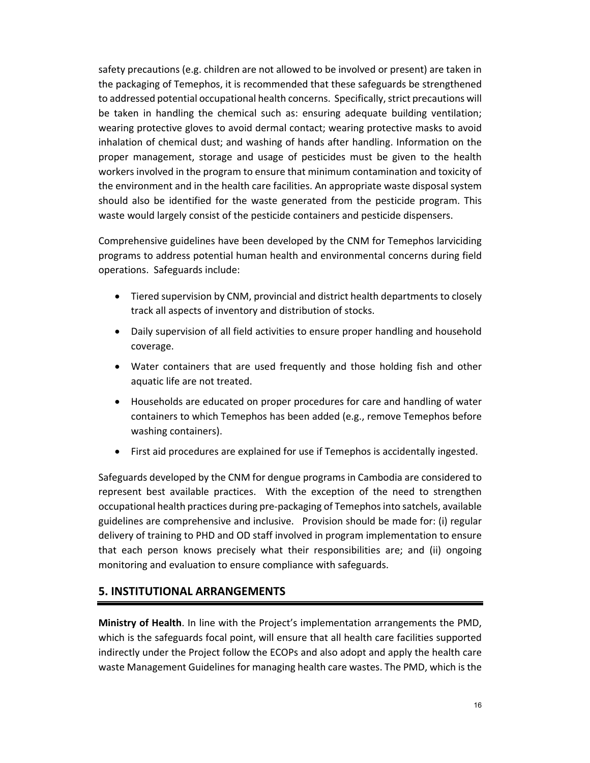safety precautions (e.g. children are not allowed to be involved or present) are taken in the packaging of Temephos, it is recommended that these safeguards be strengthened to addressed potential occupational health concerns. Specifically, strict precautions will be taken in handling the chemical such as: ensuring adequate building ventilation; wearing protective gloves to avoid dermal contact; wearing protective masks to avoid inhalation of chemical dust; and washing of hands after handling. Information on the proper management, storage and usage of pesticides must be given to the health workers involved in the program to ensure that minimum contamination and toxicity of the environment and in the health care facilities. An appropriate waste disposal system should also be identified for the waste generated from the pesticide program. This waste would largely consist of the pesticide containers and pesticide dispensers.

Comprehensive guidelines have been developed by the CNM for Temephos larviciding programs to address potential human health and environmental concerns during field operations. Safeguards include:

- Tiered supervision by CNM, provincial and district health departments to closely track all aspects of inventory and distribution of stocks.
- Daily supervision of all field activities to ensure proper handling and household coverage.
- Water containers that are used frequently and those holding fish and other aquatic life are not treated.
- Households are educated on proper procedures for care and handling of water containers to which Temephos has been added (e.g., remove Temephos before washing containers).
- First aid procedures are explained for use if Temephos is accidentally ingested.

Safeguards developed by the CNM for dengue programs in Cambodia are considered to represent best available practices. With the exception of the need to strengthen occupational health practices during pre‐packaging of Temephos into satchels, available guidelines are comprehensive and inclusive. Provision should be made for: (i) regular delivery of training to PHD and OD staff involved in program implementation to ensure that each person knows precisely what their responsibilities are; and (ii) ongoing monitoring and evaluation to ensure compliance with safeguards.

# **5. INSTITUTIONAL ARRANGEMENTS**

**Ministry of Health**. In line with the Project's implementation arrangements the PMD, which is the safeguards focal point, will ensure that all health care facilities supported indirectly under the Project follow the ECOPs and also adopt and apply the health care waste Management Guidelines for managing health care wastes. The PMD, which is the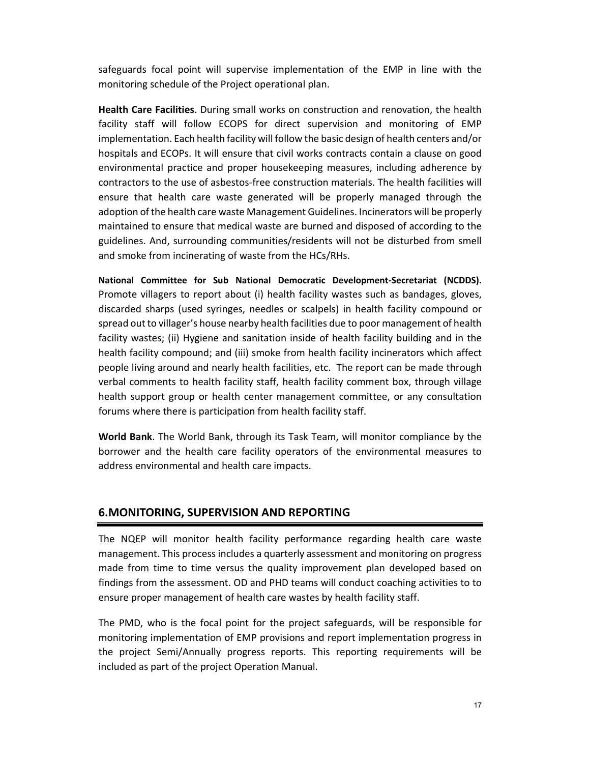safeguards focal point will supervise implementation of the EMP in line with the monitoring schedule of the Project operational plan.

**Health Care Facilities**. During small works on construction and renovation, the health facility staff will follow ECOPS for direct supervision and monitoring of EMP implementation. Each health facility will follow the basic design of health centers and/or hospitals and ECOPs. It will ensure that civil works contracts contain a clause on good environmental practice and proper housekeeping measures, including adherence by contractors to the use of asbestos‐free construction materials. The health facilities will ensure that health care waste generated will be properly managed through the adoption of the health care waste Management Guidelines. Incinerators will be properly maintained to ensure that medical waste are burned and disposed of according to the guidelines. And, surrounding communities/residents will not be disturbed from smell and smoke from incinerating of waste from the HCs/RHs.

**National Committee for Sub National Democratic Development‐Secretariat (NCDDS).**  Promote villagers to report about (i) health facility wastes such as bandages, gloves, discarded sharps (used syringes, needles or scalpels) in health facility compound or spread out to villager's house nearby health facilities due to poor management of health facility wastes; (ii) Hygiene and sanitation inside of health facility building and in the health facility compound; and (iii) smoke from health facility incinerators which affect people living around and nearly health facilities, etc. The report can be made through verbal comments to health facility staff, health facility comment box, through village health support group or health center management committee, or any consultation forums where there is participation from health facility staff.

**World Bank**. The World Bank, through its Task Team, will monitor compliance by the borrower and the health care facility operators of the environmental measures to address environmental and health care impacts.

# **6.MONITORING, SUPERVISION AND REPORTING**

The NQEP will monitor health facility performance regarding health care waste management. This process includes a quarterly assessment and monitoring on progress made from time to time versus the quality improvement plan developed based on findings from the assessment. OD and PHD teams will conduct coaching activities to to ensure proper management of health care wastes by health facility staff.

The PMD, who is the focal point for the project safeguards, will be responsible for monitoring implementation of EMP provisions and report implementation progress in the project Semi/Annually progress reports. This reporting requirements will be included as part of the project Operation Manual.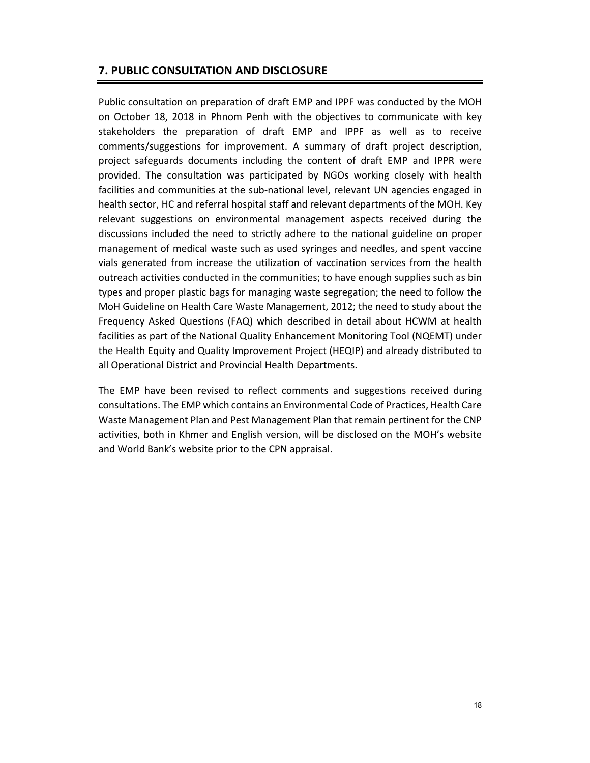# **7. PUBLIC CONSULTATION AND DISCLOSURE**

Public consultation on preparation of draft EMP and IPPF was conducted by the MOH on October 18, 2018 in Phnom Penh with the objectives to communicate with key stakeholders the preparation of draft EMP and IPPF as well as to receive comments/suggestions for improvement. A summary of draft project description, project safeguards documents including the content of draft EMP and IPPR were provided. The consultation was participated by NGOs working closely with health facilities and communities at the sub-national level, relevant UN agencies engaged in health sector, HC and referral hospital staff and relevant departments of the MOH. Key relevant suggestions on environmental management aspects received during the discussions included the need to strictly adhere to the national guideline on proper management of medical waste such as used syringes and needles, and spent vaccine vials generated from increase the utilization of vaccination services from the health outreach activities conducted in the communities; to have enough supplies such as bin types and proper plastic bags for managing waste segregation; the need to follow the MoH Guideline on Health Care Waste Management, 2012; the need to study about the Frequency Asked Questions (FAQ) which described in detail about HCWM at health facilities as part of the National Quality Enhancement Monitoring Tool (NQEMT) under the Health Equity and Quality Improvement Project (HEQIP) and already distributed to all Operational District and Provincial Health Departments.

The EMP have been revised to reflect comments and suggestions received during consultations. The EMP which contains an Environmental Code of Practices, Health Care Waste Management Plan and Pest Management Plan that remain pertinent for the CNP activities, both in Khmer and English version, will be disclosed on the MOH's website and World Bank's website prior to the CPN appraisal.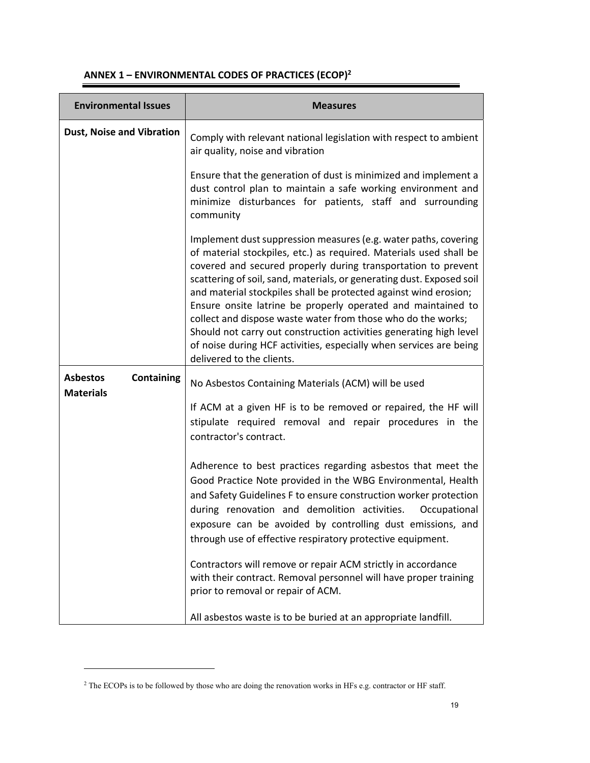| <b>Environmental Issues</b>                              | <b>Measures</b>                                                                                                                                                                                                                                                                                                                                                                                                                                                                                                                                                                                                                                              |
|----------------------------------------------------------|--------------------------------------------------------------------------------------------------------------------------------------------------------------------------------------------------------------------------------------------------------------------------------------------------------------------------------------------------------------------------------------------------------------------------------------------------------------------------------------------------------------------------------------------------------------------------------------------------------------------------------------------------------------|
| <b>Dust, Noise and Vibration</b>                         | Comply with relevant national legislation with respect to ambient<br>air quality, noise and vibration                                                                                                                                                                                                                                                                                                                                                                                                                                                                                                                                                        |
|                                                          | Ensure that the generation of dust is minimized and implement a<br>dust control plan to maintain a safe working environment and<br>minimize disturbances for patients, staff and surrounding<br>community                                                                                                                                                                                                                                                                                                                                                                                                                                                    |
|                                                          | Implement dust suppression measures (e.g. water paths, covering<br>of material stockpiles, etc.) as required. Materials used shall be<br>covered and secured properly during transportation to prevent<br>scattering of soil, sand, materials, or generating dust. Exposed soil<br>and material stockpiles shall be protected against wind erosion;<br>Ensure onsite latrine be properly operated and maintained to<br>collect and dispose waste water from those who do the works;<br>Should not carry out construction activities generating high level<br>of noise during HCF activities, especially when services are being<br>delivered to the clients. |
| <b>Asbestos</b><br><b>Containing</b><br><b>Materials</b> | No Asbestos Containing Materials (ACM) will be used<br>If ACM at a given HF is to be removed or repaired, the HF will<br>stipulate required removal and repair procedures in the<br>contractor's contract.                                                                                                                                                                                                                                                                                                                                                                                                                                                   |
|                                                          | Adherence to best practices regarding asbestos that meet the<br>Good Practice Note provided in the WBG Environmental, Health<br>and Safety Guidelines F to ensure construction worker protection<br>during renovation and demolition activities.<br>Occupational<br>exposure can be avoided by controlling dust emissions, and<br>through use of effective respiratory protective equipment.                                                                                                                                                                                                                                                                 |
|                                                          | Contractors will remove or repair ACM strictly in accordance<br>with their contract. Removal personnel will have proper training<br>prior to removal or repair of ACM.                                                                                                                                                                                                                                                                                                                                                                                                                                                                                       |
|                                                          | All asbestos waste is to be buried at an appropriate landfill.                                                                                                                                                                                                                                                                                                                                                                                                                                                                                                                                                                                               |

# **ANNEX 1 – ENVIRONMENTAL CODES OF PRACTICES (ECOP)2**

 $\overline{a}$ 

<sup>2</sup> The ECOPs is to be followed by those who are doing the renovation works in HFs e.g. contractor or HF staff.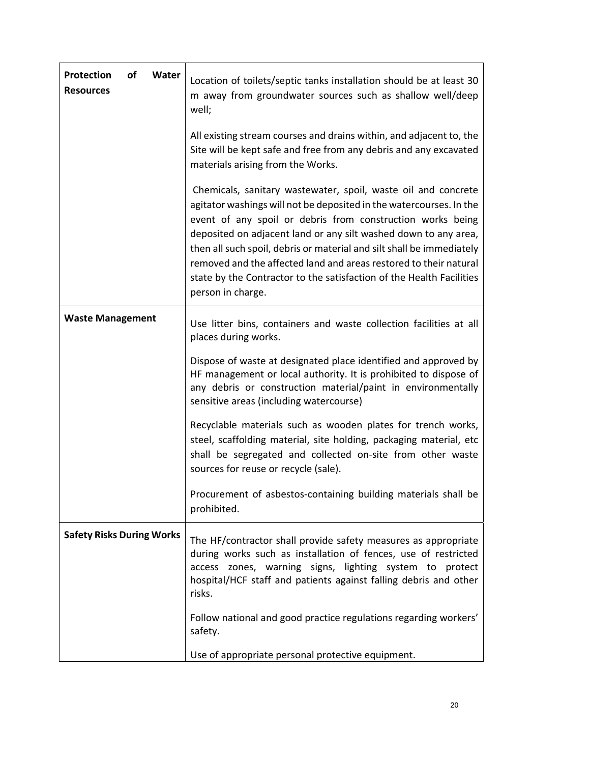| <b>Protection</b><br>of<br>Water<br><b>Resources</b> | Location of toilets/septic tanks installation should be at least 30<br>m away from groundwater sources such as shallow well/deep<br>well;                                                                                                                                                                                                                                                                                                                                                                        |
|------------------------------------------------------|------------------------------------------------------------------------------------------------------------------------------------------------------------------------------------------------------------------------------------------------------------------------------------------------------------------------------------------------------------------------------------------------------------------------------------------------------------------------------------------------------------------|
|                                                      | All existing stream courses and drains within, and adjacent to, the<br>Site will be kept safe and free from any debris and any excavated<br>materials arising from the Works.                                                                                                                                                                                                                                                                                                                                    |
|                                                      | Chemicals, sanitary wastewater, spoil, waste oil and concrete<br>agitator washings will not be deposited in the watercourses. In the<br>event of any spoil or debris from construction works being<br>deposited on adjacent land or any silt washed down to any area,<br>then all such spoil, debris or material and silt shall be immediately<br>removed and the affected land and areas restored to their natural<br>state by the Contractor to the satisfaction of the Health Facilities<br>person in charge. |
| <b>Waste Management</b>                              | Use litter bins, containers and waste collection facilities at all<br>places during works.                                                                                                                                                                                                                                                                                                                                                                                                                       |
|                                                      | Dispose of waste at designated place identified and approved by<br>HF management or local authority. It is prohibited to dispose of<br>any debris or construction material/paint in environmentally<br>sensitive areas (including watercourse)                                                                                                                                                                                                                                                                   |
|                                                      | Recyclable materials such as wooden plates for trench works,<br>steel, scaffolding material, site holding, packaging material, etc<br>shall be segregated and collected on-site from other waste<br>sources for reuse or recycle (sale).                                                                                                                                                                                                                                                                         |
|                                                      | Procurement of asbestos-containing building materials shall be<br>prohibited.                                                                                                                                                                                                                                                                                                                                                                                                                                    |
| <b>Safety Risks During Works</b>                     | The HF/contractor shall provide safety measures as appropriate<br>during works such as installation of fences, use of restricted<br>access zones, warning signs, lighting system to protect<br>hospital/HCF staff and patients against falling debris and other<br>risks.                                                                                                                                                                                                                                        |
|                                                      | Follow national and good practice regulations regarding workers'<br>safety.                                                                                                                                                                                                                                                                                                                                                                                                                                      |
|                                                      | Use of appropriate personal protective equipment.                                                                                                                                                                                                                                                                                                                                                                                                                                                                |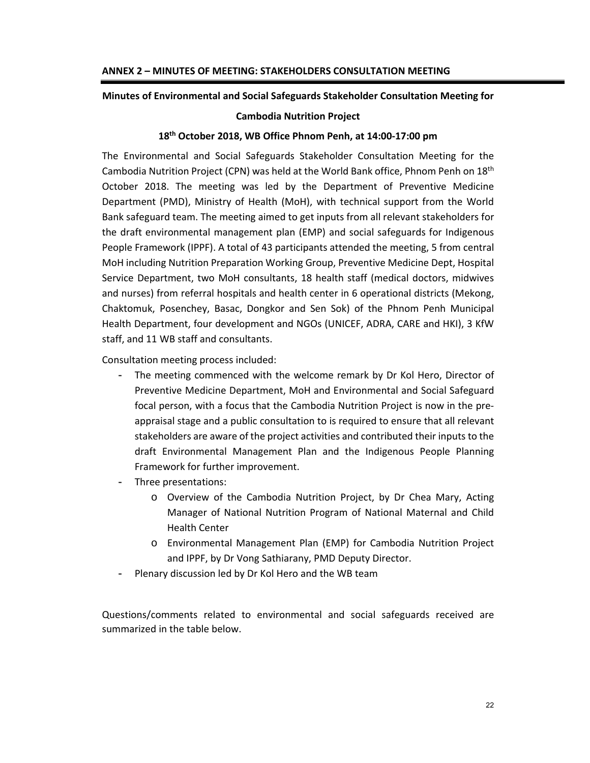#### **Minutes of Environmental and Social Safeguards Stakeholder Consultation Meeting for**

#### **Cambodia Nutrition Project**

#### **18th October 2018, WB Office Phnom Penh, at 14:00‐17:00 pm**

The Environmental and Social Safeguards Stakeholder Consultation Meeting for the Cambodia Nutrition Project (CPN) was held at the World Bank office, Phnom Penh on 18th October 2018. The meeting was led by the Department of Preventive Medicine Department (PMD), Ministry of Health (MoH), with technical support from the World Bank safeguard team. The meeting aimed to get inputs from all relevant stakeholders for the draft environmental management plan (EMP) and social safeguards for Indigenous People Framework (IPPF). A total of 43 participants attended the meeting, 5 from central MoH including Nutrition Preparation Working Group, Preventive Medicine Dept, Hospital Service Department, two MoH consultants, 18 health staff (medical doctors, midwives and nurses) from referral hospitals and health center in 6 operational districts (Mekong, Chaktomuk, Posenchey, Basac, Dongkor and Sen Sok) of the Phnom Penh Municipal Health Department, four development and NGOs (UNICEF, ADRA, CARE and HKI), 3 KfW staff, and 11 WB staff and consultants.

Consultation meeting process included:

- The meeting commenced with the welcome remark by Dr Kol Hero, Director of Preventive Medicine Department, MoH and Environmental and Social Safeguard focal person, with a focus that the Cambodia Nutrition Project is now in the pre‐ appraisal stage and a public consultation to is required to ensure that all relevant stakeholders are aware of the project activities and contributed their inputs to the draft Environmental Management Plan and the Indigenous People Planning Framework for further improvement.
- Three presentations:
	- o Overview of the Cambodia Nutrition Project, by Dr Chea Mary, Acting Manager of National Nutrition Program of National Maternal and Child Health Center
	- o Environmental Management Plan (EMP) for Cambodia Nutrition Project and IPPF, by Dr Vong Sathiarany, PMD Deputy Director.
- Plenary discussion led by Dr Kol Hero and the WB team

Questions/comments related to environmental and social safeguards received are summarized in the table below.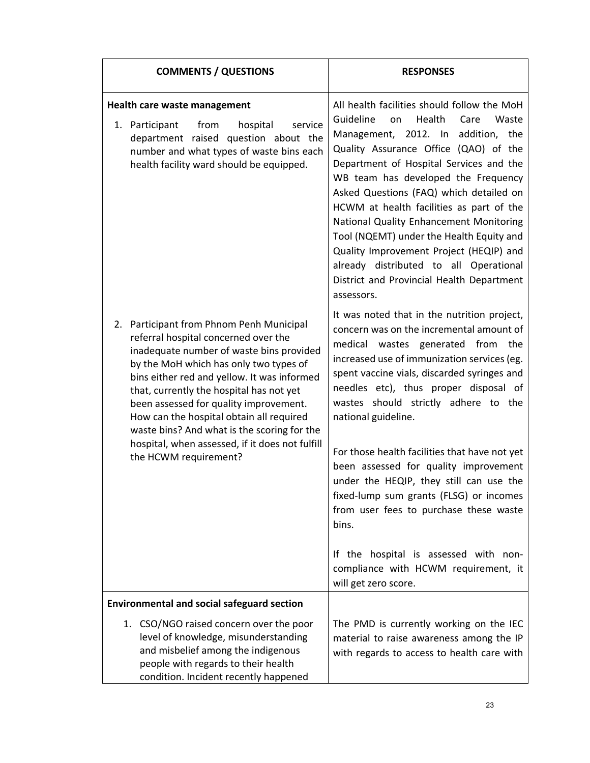| <b>COMMENTS / QUESTIONS</b>                       |                                                                                                                                                                                                                                                                                                                                                                                                        | <b>RESPONSES</b>                                                                                                                                                                                                                                                                                                                                                                                                                                                                            |
|---------------------------------------------------|--------------------------------------------------------------------------------------------------------------------------------------------------------------------------------------------------------------------------------------------------------------------------------------------------------------------------------------------------------------------------------------------------------|---------------------------------------------------------------------------------------------------------------------------------------------------------------------------------------------------------------------------------------------------------------------------------------------------------------------------------------------------------------------------------------------------------------------------------------------------------------------------------------------|
|                                                   | Health care waste management<br>from<br>hospital<br>1. Participant<br>service                                                                                                                                                                                                                                                                                                                          | All health facilities should follow the MoH<br>Guideline<br>Health<br>Care<br>Waste<br>on                                                                                                                                                                                                                                                                                                                                                                                                   |
|                                                   | department raised question about the<br>number and what types of waste bins each<br>health facility ward should be equipped.                                                                                                                                                                                                                                                                           | Management, 2012. In addition, the<br>Quality Assurance Office (QAO) of the<br>Department of Hospital Services and the<br>WB team has developed the Frequency<br>Asked Questions (FAQ) which detailed on<br>HCWM at health facilities as part of the<br>National Quality Enhancement Monitoring<br>Tool (NQEMT) under the Health Equity and<br>Quality Improvement Project (HEQIP) and<br>already distributed to all Operational<br>District and Provincial Health Department<br>assessors. |
| the HCWM requirement?                             | 2. Participant from Phnom Penh Municipal<br>referral hospital concerned over the<br>inadequate number of waste bins provided<br>by the MoH which has only two types of<br>bins either red and yellow. It was informed<br>that, currently the hospital has not yet<br>been assessed for quality improvement.<br>How can the hospital obtain all required<br>waste bins? And what is the scoring for the | It was noted that in the nutrition project,<br>concern was on the incremental amount of<br>medical wastes generated from the<br>increased use of immunization services (eg.<br>spent vaccine vials, discarded syringes and<br>needles etc), thus proper disposal of<br>wastes should strictly adhere to the<br>national guideline.                                                                                                                                                          |
|                                                   | hospital, when assessed, if it does not fulfill                                                                                                                                                                                                                                                                                                                                                        | For those health facilities that have not yet<br>been assessed for quality improvement<br>under the HEQIP, they still can use the<br>fixed-lump sum grants (FLSG) or incomes<br>from user fees to purchase these waste<br>bins.                                                                                                                                                                                                                                                             |
|                                                   |                                                                                                                                                                                                                                                                                                                                                                                                        | If the hospital is assessed with non-<br>compliance with HCWM requirement, it<br>will get zero score.                                                                                                                                                                                                                                                                                                                                                                                       |
| <b>Environmental and social safeguard section</b> |                                                                                                                                                                                                                                                                                                                                                                                                        |                                                                                                                                                                                                                                                                                                                                                                                                                                                                                             |
|                                                   | 1. CSO/NGO raised concern over the poor<br>level of knowledge, misunderstanding<br>and misbelief among the indigenous<br>people with regards to their health<br>condition. Incident recently happened                                                                                                                                                                                                  | The PMD is currently working on the IEC<br>material to raise awareness among the IP<br>with regards to access to health care with                                                                                                                                                                                                                                                                                                                                                           |